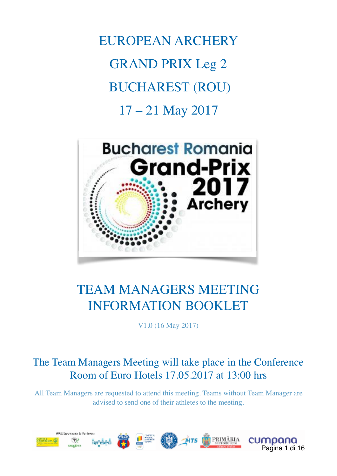EUROPEAN ARCHERY GRAND PRIX Leg 2 BUCHAREST (ROU) 17 – 21 May 2017



# TEAM MANAGERS MEETING INFORMATION BOOKLET

V1.0 (16 May 2017)

## The Team Managers Meeting will take place in the Conference Room of Euro Hotels 17.05.2017 at 13:00 hrs

All Team Managers are requested to attend this meeting. Teams without Team Manager are advised to send one of their athletes to the meeting.

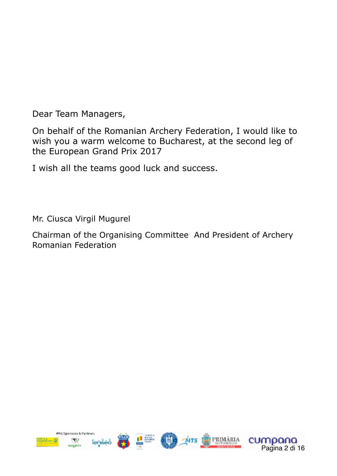Dear Team Managers,

On behalf of the Romanian Archery Federation, I would like to wish you a warm welcome to Bucharest, at the second leg of the European Grand Prix 2017

I wish all the teams good luck and success.

Mr. Ciusca Virgil Mugurel

Chairman of the Organising Committee And President of Archery Romanian Federation



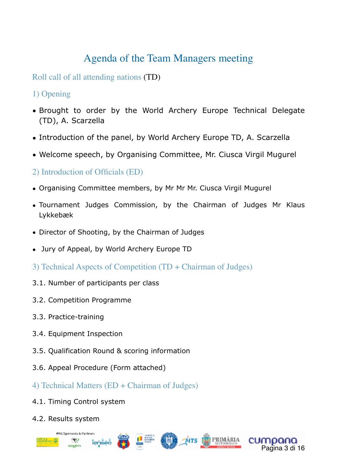## Agenda of the Team Managers meeting

Roll call of all attending nations (TD)

- 1) Opening
- Brought to order by the World Archery Europe Technical Delegate (TD), A. Scarzella
- Introduction of the panel, by World Archery Europe TD, A. Scarzella
- Welcome speech, by Organising Committee, Mr. Ciusca Virgil Mugurel
- 2) Introduction of Officials (ED)
- Organising Committee members, by Mr Mr Mr. Ciusca Virgil Mugurel
- Tournament Judges Commission, by the Chairman of Judges Mr Klaus Lykkebæk
- Director of Shooting, by the Chairman of Judges
- Jury of Appeal, by World Archery Europe TD
- 3) Technical Aspects of Competition (TD + Chairman of Judges)
- 3.1. Number of participants per class
- 3.2. Competition Programme
- 3.3. Practice-training
- 3.4. Equipment Inspection
- 3.5. Qualification Round & scoring information
- 3.6. Appeal Procedure (Form attached)
- 4) Technical Matters (ED + Chairman of Judges)
- 4.1. Timing Control system
- 4.2. Results system



Pagina 3 di 16

cumpana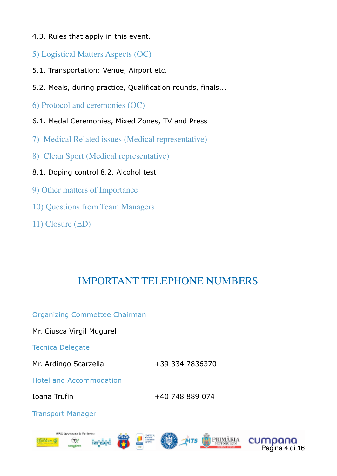- 4.3. Rules that apply in this event.
- 5) Logistical Matters Aspects (OC)
- 5.1. Transportation: Venue, Airport etc.
- 5.2. Meals, during practice, Qualification rounds, finals...
- 6) Protocol and ceremonies (OC)
- 6.1. Medal Ceremonies, Mixed Zones, TV and Press
- 7) Medical Related issues (Medical representative)
- 8) Clean Sport (Medical representative)
- 8.1. Doping control 8.2. Alcohol test
- 9) Other matters of Importance
- 10) Questions from Team Managers
- 11) Closure (ED)

## IMPORTANT TELEPHONE NUMBERS

Organizing Commettee Chairman

Mr. Ciusca Virgil Mugurel

Tecnica Delegate

Mr. Ardingo Scarzella +39 334 7836370

Hotel and Accommodation

Ioana Trufin +40 748 889 074

PRIMÂRIA

Pagina 4 di 16

cumpana

Transport Manager

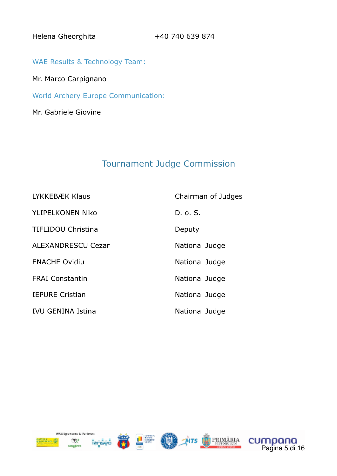Helena Gheorghita +40 740 639 874

WAE Results & Technology Team:

Mr. Marco Carpignano

World Archery Europe Communication:

Mr. Gabriele Giovine

## Tournament Judge Commission

| LYKKEBÆK Klaus            | Chairman of Judges |
|---------------------------|--------------------|
| <b>YLIPELKONEN Niko</b>   | D. o. S.           |
| <b>TIFLIDOU Christina</b> | Deputy             |
| <b>ALEXANDRESCU Cezar</b> | National Judge     |
| <b>ENACHE Ovidiu</b>      | National Judge     |
| <b>FRAI Constantin</b>    | National Judge     |
| <b>IEPURE Cristian</b>    | National Judge     |
| <b>IVU GENINA Istina</b>  | National Judge     |









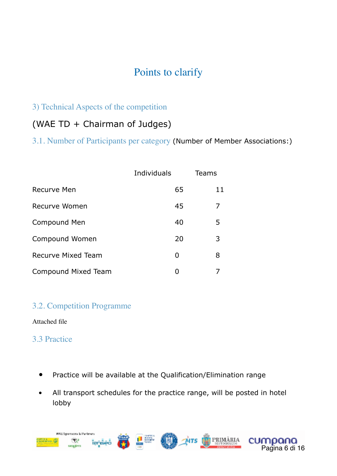## Points to clarify

#### 3) Technical Aspects of the competition

## (WAE TD + Chairman of Judges)

3.1. Number of Participants per category (Number of Member Associations:)

|                           | Individuals | <b>Teams</b> |
|---------------------------|-------------|--------------|
| Recurve Men               | 65          | 11           |
| Recurve Women             | 45          | 7            |
| Compound Men              | 40          | 5            |
| Compound Women            | 20          | 3            |
| <b>Recurve Mixed Team</b> | O           | 8            |
| Compound Mixed Team       | O           |              |

#### 3.2. Competition Programme

Attached file

#### 3.3 Practice

- Practice will be available at the Qualification/Elimination range
- All transport schedules for the practice range, will be posted in hotel lobby

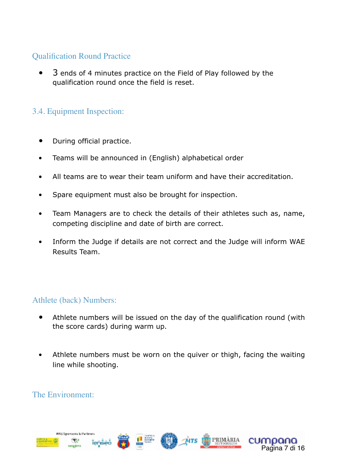### Qualification Round Practice

 • 3 ends of 4 minutes practice on the Field of Play followed by the qualification round once the field is reset.

## 3.4. Equipment Inspection:

- During official practice.
- Teams will be announced in (English) alphabetical order
- All teams are to wear their team uniform and have their accreditation.
- Spare equipment must also be brought for inspection.
- Team Managers are to check the details of their athletes such as, name, competing discipline and date of birth are correct.
- Inform the Judge if details are not correct and the Judge will inform WAE Results Team.

#### Athlete (back) Numbers:

- Athlete numbers will be issued on the day of the qualification round (with the score cards) during warm up.
- Athlete numbers must be worn on the quiver or thigh, facing the waiting line while shooting.

#### The Environment:

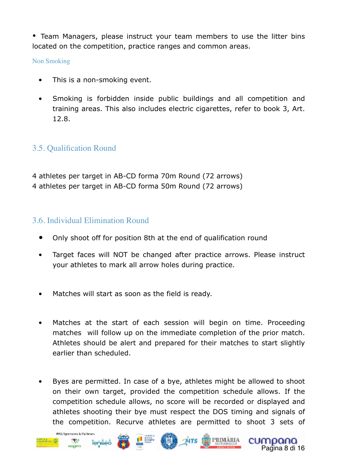• Team Managers, please instruct your team members to use the litter bins located on the competition, practice ranges and common areas.

Non Smoking

- This is a non-smoking event.
- Smoking is forbidden inside public buildings and all competition and training areas. This also includes electric cigarettes, refer to book 3, Art. 12.8.

#### 3.5. Qualification Round

4 athletes per target in AB-CD forma 70m Round (72 arrows) 4 athletes per target in AB-CD forma 50m Round (72 arrows)

#### 3.6. Individual Elimination Round

- Only shoot off for position 8th at the end of qualification round
- Target faces will NOT be changed after practice arrows. Please instruct your athletes to mark all arrow holes during practice.
- Matches will start as soon as the field is ready.
- Matches at the start of each session will begin on time. Proceeding matches will follow up on the immediate completion of the prior match. Athletes should be alert and prepared for their matches to start slightly earlier than scheduled.
- Byes are permitted. In case of a bye, athletes might be allowed to shoot on their own target, provided the competition schedule allows. If the competition schedule allows, no score will be recorded or displayed and athletes shooting their bye must respect the DOS timing and signals of the competition. Recurve athletes are permitted to shoot 3 sets of

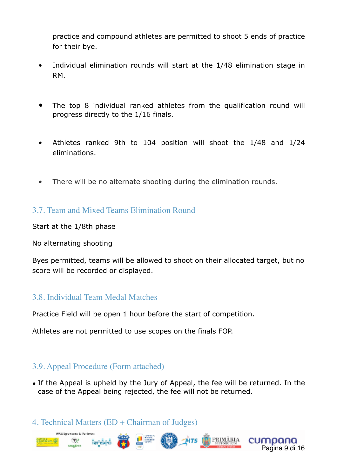practice and compound athletes are permitted to shoot 5 ends of practice for their bye.

- Individual elimination rounds will start at the 1/48 elimination stage in RM.
- The top 8 individual ranked athletes from the qualification round will progress directly to the 1/16 finals.
- Athletes ranked 9th to 104 position will shoot the 1/48 and 1/24 eliminations.
- There will be no alternate shooting during the elimination rounds.

3.7. Team and Mixed Teams Elimination Round

Start at the 1/8th phase

No alternating shooting

WAS Seven sorts to Parties

₩P

Byes permitted, teams will be allowed to shoot on their allocated target, but no score will be recorded or displayed.

#### 3.8. Individual Team Medal Matches

Practice Field will be open 1 hour before the start of competition.

Athletes are not permitted to use scopes on the finals FOP.

#### 3.9. Appeal Procedure (Form attached)

• If the Appeal is upheld by the Jury of Appeal, the fee will be returned. In the case of the Appeal being rejected, the fee will not be returned.

Pagina 9 di 16

cumpana

PRIMÂRIA

 $ATS$ 

4. Technical Matters (ED + Chairman of Judges)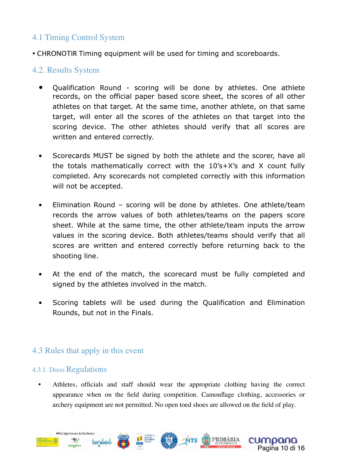## 4.1 Timing Control System

• CHRONOTIR Timing equipment will be used for timing and scoreboards.

#### 4.2. Results System

- Qualification Round scoring will be done by athletes. One athlete records, on the official paper based score sheet, the scores of all other athletes on that target. At the same time, another athlete, on that same target, will enter all the scores of the athletes on that target into the scoring device. The other athletes should verify that all scores are written and entered correctly.
- Scorecards MUST be signed by both the athlete and the scorer, have all the totals mathematically correct with the 10's+X's and X count fully completed. Any scorecards not completed correctly with this information will not be accepted.
- Elimination Round scoring will be done by athletes. One athlete/team records the arrow values of both athletes/teams on the papers score sheet. While at the same time, the other athlete/team inputs the arrow values in the scoring device. Both athletes/teams should verify that all scores are written and entered correctly before returning back to the shooting line.
- At the end of the match, the scorecard must be fully completed and signed by the athletes involved in the match.
- Scoring tablets will be used during the Qualification and Elimination Rounds, but not in the Finals.

#### 4.3 Rules that apply in this event

#### 4.3.1. Dress Regulations

• Athletes, officials and staff should wear the appropriate clothing having the correct appearance when on the field during competition. Camouflage clothing, accessories or archery equipment are not permitted. No open toed shoes are allowed on the field of play.

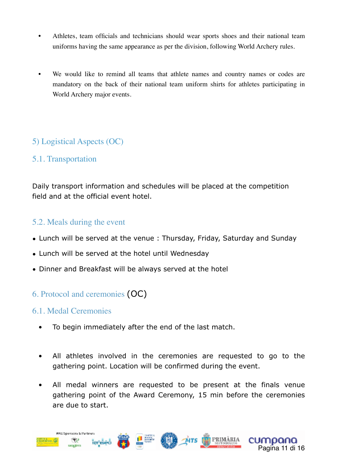- Athletes, team officials and technicians should wear sports shoes and their national team uniforms having the same appearance as per the division, following World Archery rules.
- We would like to remind all teams that athlete names and country names or codes are mandatory on the back of their national team uniform shirts for athletes participating in World Archery major events.

#### 5) Logistical Aspects (OC)

#### 5.1. Transportation

Daily transport information and schedules will be placed at the competition field and at the official event hotel.

#### 5.2. Meals during the event

- Lunch will be served at the venue : Thursday, Friday, Saturday and Sunday
- Lunch will be served at the hotel until Wednesday
- Dinner and Breakfast will be always served at the hotel

### 6. Protocol and ceremonies (OC)

#### 6.1. Medal Ceremonies

- To begin immediately after the end of the last match.
- All athletes involved in the ceremonies are requested to go to the gathering point. Location will be confirmed during the event.
- All medal winners are requested to be present at the finals venue gathering point of the Award Ceremony, 15 min before the ceremonies are due to start.

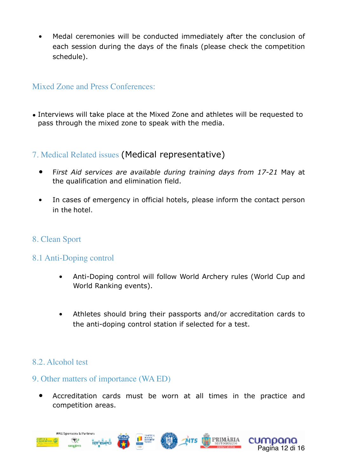• Medal ceremonies will be conducted immediately after the conclusion of each session during the days of the finals (please check the competition schedule).

#### Mixed Zone and Press Conferences:

• Interviews will take place at the Mixed Zone and athletes will be requested to pass through the mixed zone to speak with the media.

#### 7. Medical Related issues (Medical representative)

- F*irst Aid services are available during training days from 17-21* May at the qualification and elimination field.
- In cases of emergency in official hotels, please inform the contact person in the hotel.
- 8. Clean Sport

#### 8.1 Anti-Doping control

- Anti-Doping control will follow World Archery rules (World Cup and World Ranking events).
- Athletes should bring their passports and/or accreditation cards to the anti-doping control station if selected for a test.

#### 8.2. Alcohol test

#### 9. Other matters of importance (WA ED)

 • Accreditation cards must be worn at all times in the practice and competition areas.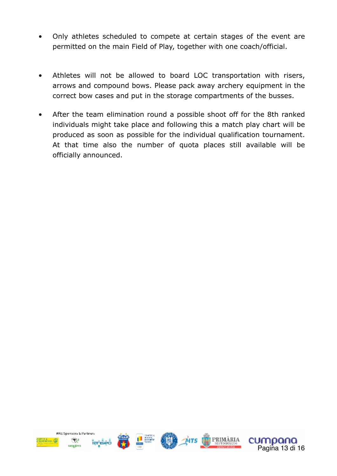- Only athletes scheduled to compete at certain stages of the event are permitted on the main Field of Play, together with one coach/official.
- Athletes will not be allowed to board LOC transportation with risers, arrows and compound bows. Please pack away archery equipment in the correct bow cases and put in the storage compartments of the busses.
- After the team elimination round a possible shoot off for the 8th ranked individuals might take place and following this a match play chart will be produced as soon as possible for the individual qualification tournament. At that time also the number of quota places still available will be officially announced.

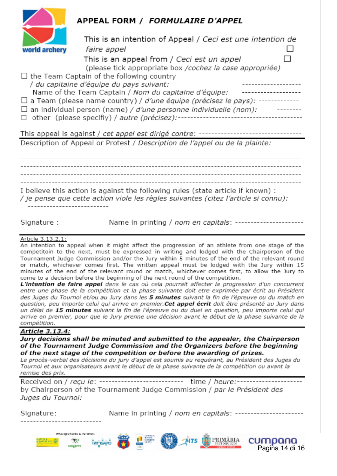

### **APPEAL FORM / FORMULAIRE D'APPEL**

|               |                                                                                                                                                                       | This is an intention of Appeal / Ceci est une intention de                                              |  |
|---------------|-----------------------------------------------------------------------------------------------------------------------------------------------------------------------|---------------------------------------------------------------------------------------------------------|--|
| world archery | faire appel                                                                                                                                                           |                                                                                                         |  |
|               |                                                                                                                                                                       | This is an appeal from / Ceci est un appel<br>(please tick appropriate box / cochez la case appropriée) |  |
|               | $\Box$ the Team Captain of the following country                                                                                                                      |                                                                                                         |  |
|               | / du capitaine d'équipe du pays suivant:                                                                                                                              |                                                                                                         |  |
|               | Name of the Team Captain / Nom du capitaine d'équipe:                                                                                                                 |                                                                                                         |  |
|               | $\Box$ a Team (please name country) / d'une équipe (précisez le pays): -------                                                                                        |                                                                                                         |  |
| ⊔             | an individual person (name) / d'une personne individuelle (nom):                                                                                                      |                                                                                                         |  |
|               | other (please specifiy) / autre (précisez):-                                                                                                                          |                                                                                                         |  |
|               |                                                                                                                                                                       |                                                                                                         |  |
|               | This appeal is against / cet appel est dirigé contre:                                                                                                                 |                                                                                                         |  |
|               | Description of Appeal or Protest / Description de l'appel ou de la plainte:                                                                                           |                                                                                                         |  |
|               |                                                                                                                                                                       |                                                                                                         |  |
|               |                                                                                                                                                                       |                                                                                                         |  |
|               |                                                                                                                                                                       |                                                                                                         |  |
|               |                                                                                                                                                                       |                                                                                                         |  |
|               |                                                                                                                                                                       |                                                                                                         |  |
|               | I believe this action is against the following rules (state article if known) :<br>/ je pense que cette action viole les règles suivantes (citez l'article si connu): |                                                                                                         |  |
|               |                                                                                                                                                                       |                                                                                                         |  |

Signature:

Name in printing / *nom en capitals*: -----------------------

Pagina 14 di 16

cumpana

PRIMÁRIA

#### Article 3.13.2.1:

An intention to appeal when it might affect the progression of an athlete from one stage of the competitoin to the next, must be expressed in writing and lodged with the Chairperson of the Tournament Judge Commission and/or the Jury within 5 minutes of the end of the relevant round or match, whichever comes first. The written appeal must be lodged with the Jury within 15 minutes of the end of the relevant round or match, whichever comes first, to allow the Jury to come to a decision before the beginning of the next round of the competition.

L'intention de faire appel dans le cas où cela pourrait affecter la progression d'un concurrent entre une phase de la compétition et la phase suivante doit etre exprimée par écrit au Président des Juges du Tournoi et/ou au Jury dans les 5 minutes suivant la fin de l'épreuve ou du match en question, peu importe celui qui arrive en premier. Cet appel écrit doit être présenté au Jury dans un délai de 15 minutes suivant la fin de l'épreuve ou du duel en question, peu importe celui qui arrive en premier, pour que le Jury prenne une décision avant le début de la phase suivante de la compétition.

#### Article 3.13.4:

Jury decisions shall be minuted and submitted to the appealer, the Chairperson of the Tournament Judge Commission and the Organizers before the beginning of the next stage of the competition or before the awarding of prizes.

Le procès-verbal des décisions du jury d'appel est soumis au requérant, au Président des Juges du Tournoi et aux organisateurs avant le début de la phase suivante de la compétition ou avant la remise des prix.

Received on / recu le: -------------------------- time / heure:------------------by Chairperson of the Tournament Judge Commission / par le Président des Juges du Tournoi:

Name in printing / *nom en capitals*: ----------------------Signature:

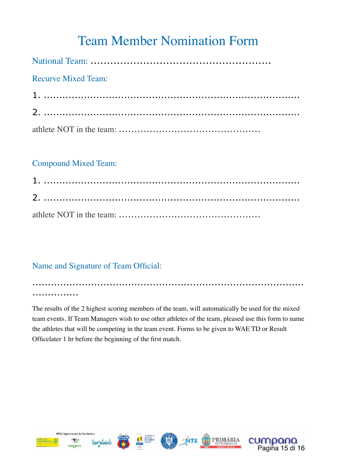# Team Member Nomination Form

| <b>Recurve Mixed Team:</b> |
|----------------------------|
|                            |
|                            |
|                            |

#### Compound Mixed Team:

## Name and Signature of Team Official:

........................................................................................ ...............

The results of the 2 highest scoring members of the team, will automatically be used for the mixed team events. If Team Managers wish to use other athletes of the team, pleased use this form to name the athletes that will be competing in the team event. Forms to be given to WAE TD or Result Officelater 1 hr before the beginning of the first match.